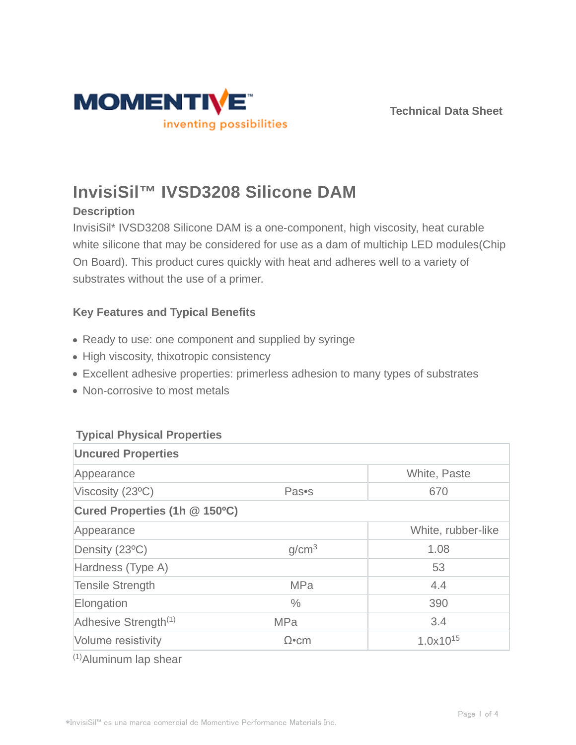



# **InvisiSil™ IVSD3208 Silicone DAM**

## **Description**

InvisiSil\* IVSD3208 Silicone DAM is a one-component, high viscosity, heat curable white silicone that may be considered for use as a dam of multichip LED modules(Chip On Board). This product cures quickly with heat and adheres well to a variety of substrates without the use of a primer.

# **Key Features and Typical Benefits**

- Ready to use: one component and supplied by syringe
- High viscosity, thixotropic consistency
- Excellent adhesive properties: primerless adhesion to many types of substrates
- Non-corrosive to most metals

## **Typical Physical Properties**

| <b>Uncured Properties</b>        |                   |                    |  |  |
|----------------------------------|-------------------|--------------------|--|--|
| Appearance                       |                   | White, Paste       |  |  |
| Viscosity (23°C)                 | Pas•s             | 670                |  |  |
| Cured Properties (1h @ 150°C)    |                   |                    |  |  |
| Appearance                       |                   | White, rubber-like |  |  |
| Density (23°C)                   | g/cm <sup>3</sup> | 1.08               |  |  |
| Hardness (Type A)                |                   | 53                 |  |  |
| <b>Tensile Strength</b>          | <b>MPa</b>        | 4.4                |  |  |
| Elongation                       | $\frac{0}{0}$     | 390                |  |  |
| Adhesive Strength <sup>(1)</sup> | <b>MPa</b>        | 3.4                |  |  |
| Volume resistivity               | $\Omega$ •cm      | $1.0x10^{15}$      |  |  |

(1)Aluminum lap shear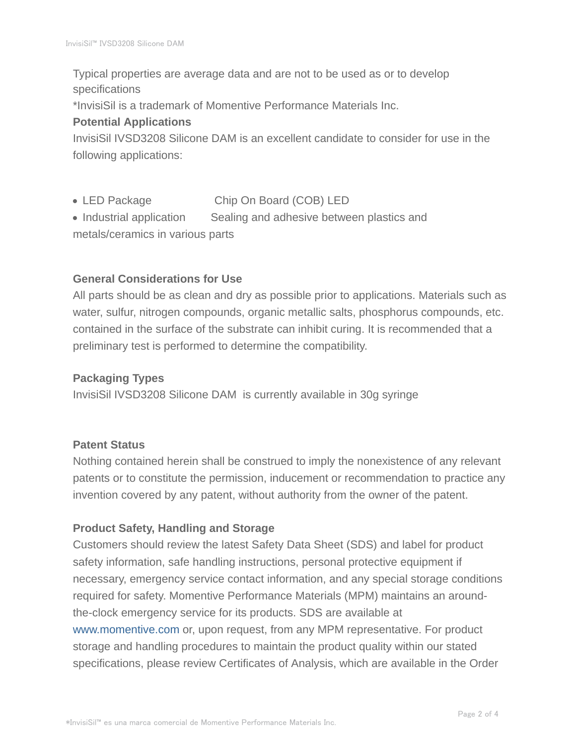Typical properties are average data and are not to be used as or to develop specifications

\*InvisiSil is a trademark of Momentive Performance Materials Inc.

## **Potential Applications**

InvisiSil IVSD3208 Silicone DAM is an excellent candidate to consider for use in the following applications:

- LED Package Chip On Board (COB) LED
- Industrial application Sealing and adhesive between plastics and metals/ceramics in various parts

## **General Considerations for Use**

All parts should be as clean and dry as possible prior to applications. Materials such as water, sulfur, nitrogen compounds, organic metallic salts, phosphorus compounds, etc. contained in the surface of the substrate can inhibit curing. It is recommended that a preliminary test is performed to determine the compatibility.

## **Packaging Types**

InvisiSil IVSD3208 Silicone DAM is currently available in 30g syringe

## **Patent Status**

Nothing contained herein shall be construed to imply the nonexistence of any relevant patents or to constitute the permission, inducement or recommendation to practice any invention covered by any patent, without authority from the owner of the patent.

## **Product Safety, Handling and Storage**

Customers should review the latest Safety Data Sheet (SDS) and label for product safety information, safe handling instructions, personal protective equipment if necessary, emergency service contact information, and any special storage conditions required for safety. Momentive Performance Materials (MPM) maintains an aroundthe-clock emergency service for its products. SDS are available at www.momentive.com or, upon request, from any MPM representative. For product storage and handling procedures to maintain the product quality within our stated specifications, please review Certificates of Analysis, which are available in the Order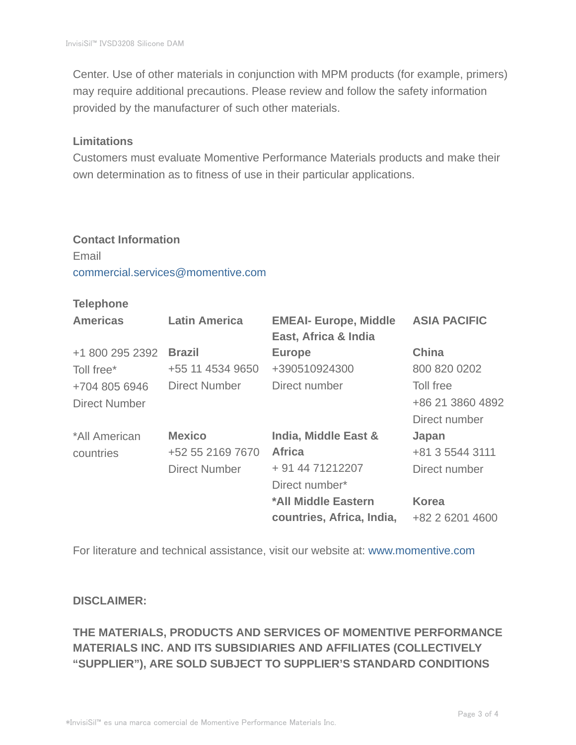Center. Use of other materials in conjunction with MPM products (for example, primers) may require additional precautions. Please review and follow the safety information provided by the manufacturer of such other materials.

#### **Limitations**

Customers must evaluate Momentive Performance Materials products and make their own determination as to fitness of use in their particular applications.

# **Contact Information** Email commercial.services@momentive.com

#### **Telephone**

| <b>Americas</b>      | <b>Latin America</b> | <b>EMEAI- Europe, Middle</b><br>East, Africa & India | <b>ASIA PACIFIC</b> |
|----------------------|----------------------|------------------------------------------------------|---------------------|
| +1 800 295 2392      | <b>Brazil</b>        | <b>Europe</b>                                        | <b>China</b>        |
| Toll free*           | +55 11 4534 9650     | +390510924300                                        | 800 820 0202        |
| +704 805 6946        | Direct Number        | Direct number                                        | Toll free           |
| <b>Direct Number</b> |                      |                                                      | +86 21 3860 4892    |
|                      |                      |                                                      | Direct number       |
| *All American        | <b>Mexico</b>        | India, Middle East &                                 | Japan               |
| countries            | +52 55 2169 7670     | <b>Africa</b>                                        | +81 3 5544 3111     |
|                      | <b>Direct Number</b> | + 91 44 71212207                                     | Direct number       |
|                      |                      | Direct number*                                       |                     |
|                      |                      | *All Middle Eastern                                  | <b>Korea</b>        |
|                      |                      | countries, Africa, India,                            | +82 2 6201 4600     |

For literature and technical assistance, visit our website at: www.momentive.com

#### **DISCLAIMER:**

# **THE MATERIALS, PRODUCTS AND SERVICES OF MOMENTIVE PERFORMANCE MATERIALS INC. AND ITS SUBSIDIARIES AND AFFILIATES (COLLECTIVELY "SUPPLIER"), ARE SOLD SUBJECT TO SUPPLIER'S STANDARD CONDITIONS**